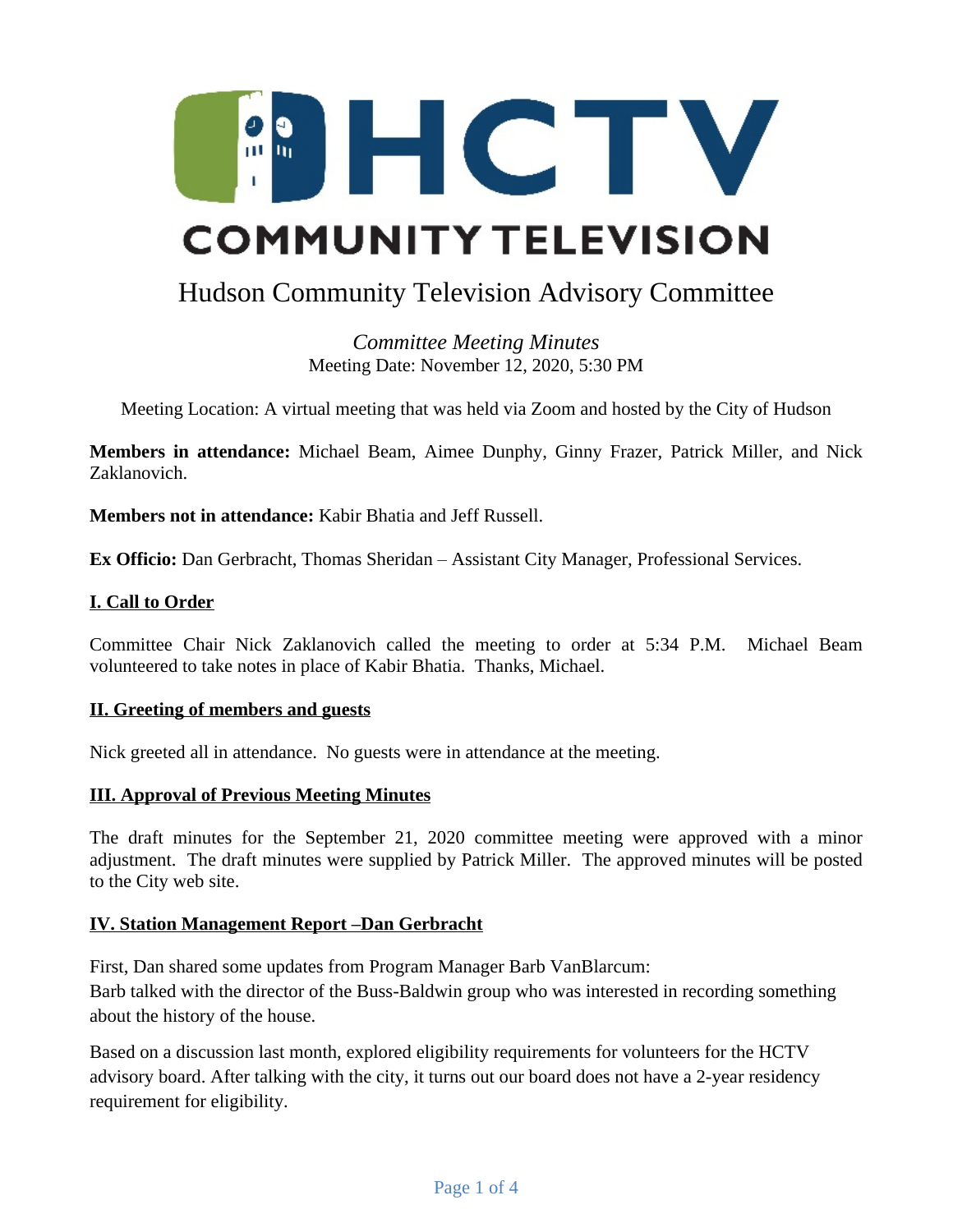

# Hudson Community Television Advisory Committee

*Committee Meeting Minutes* Meeting Date: November 12, 2020, 5:30 PM

Meeting Location: A virtual meeting that was held via Zoom and hosted by the City of Hudson

**Members in attendance:** Michael Beam, Aimee Dunphy, Ginny Frazer, Patrick Miller, and Nick Zaklanovich.

**Members not in attendance:** Kabir Bhatia and Jeff Russell.

**Ex Officio:** Dan Gerbracht, Thomas Sheridan – Assistant City Manager, Professional Services.

#### **I. Call to Order**

Committee Chair Nick Zaklanovich called the meeting to order at 5:34 P.M. Michael Beam volunteered to take notes in place of Kabir Bhatia. Thanks, Michael.

#### **II. Greeting of members and guests**

Nick greeted all in attendance. No guests were in attendance at the meeting.

#### **III. Approval of Previous Meeting Minutes**

The draft minutes for the September 21, 2020 committee meeting were approved with a minor adjustment. The draft minutes were supplied by Patrick Miller. The approved minutes will be posted to the City web site.

#### **IV. Station Management Report –Dan Gerbracht**

First, Dan shared some updates from Program Manager Barb VanBlarcum: Barb talked with the director of the Buss-Baldwin group who was interested in recording something about the history of the house.

Based on a discussion last month, explored eligibility requirements for volunteers for the HCTV advisory board. After talking with the city, it turns out our board does not have a 2-year residency requirement for eligibility.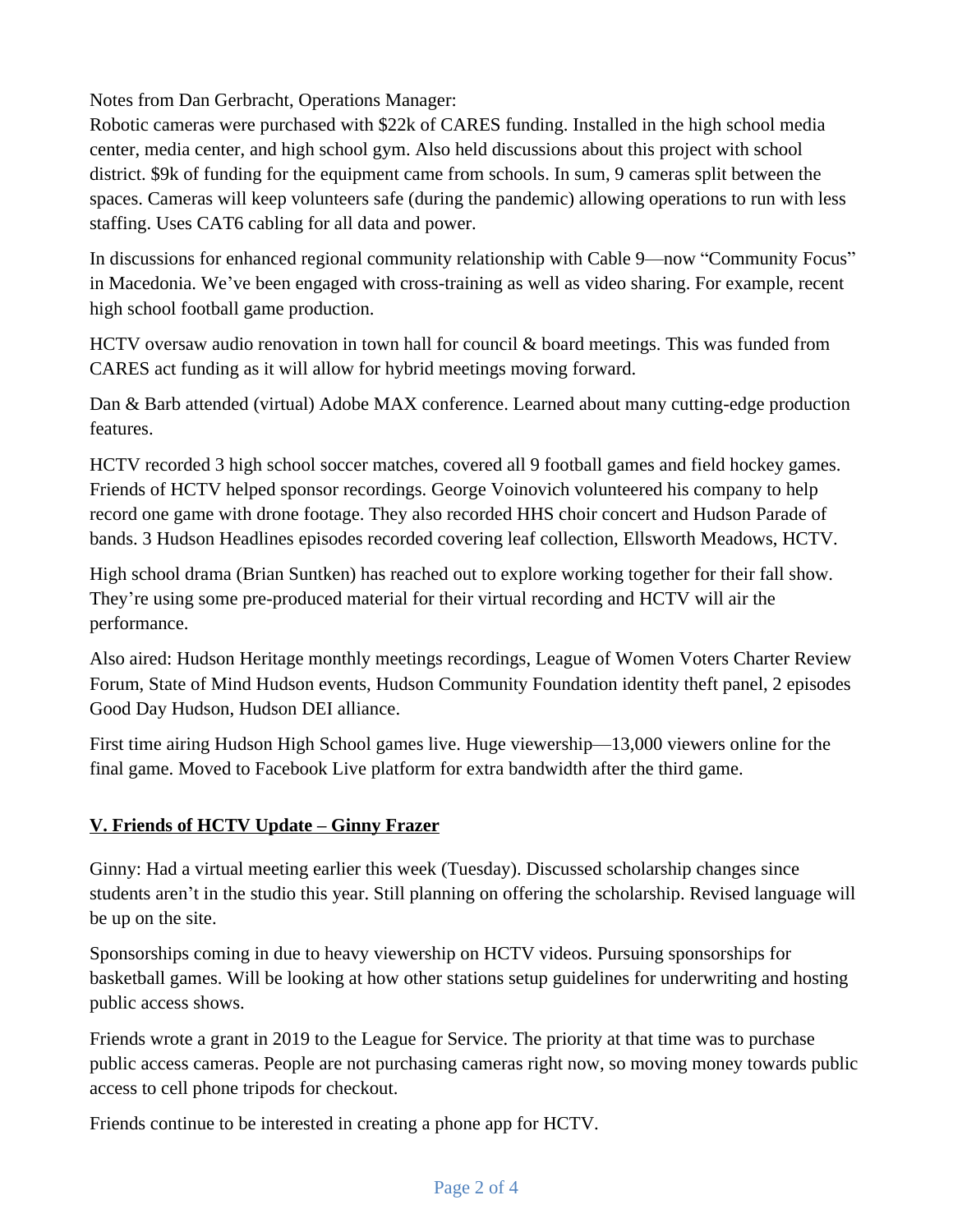Notes from Dan Gerbracht, Operations Manager:

Robotic cameras were purchased with \$22k of CARES funding. Installed in the high school media center, media center, and high school gym. Also held discussions about this project with school district. \$9k of funding for the equipment came from schools. In sum, 9 cameras split between the spaces. Cameras will keep volunteers safe (during the pandemic) allowing operations to run with less staffing. Uses CAT6 cabling for all data and power.

In discussions for enhanced regional community relationship with Cable 9—now "Community Focus" in Macedonia. We've been engaged with cross-training as well as video sharing. For example, recent high school football game production.

HCTV oversaw audio renovation in town hall for council & board meetings. This was funded from CARES act funding as it will allow for hybrid meetings moving forward.

Dan & Barb attended (virtual) Adobe MAX conference. Learned about many cutting-edge production features.

HCTV recorded 3 high school soccer matches, covered all 9 football games and field hockey games. Friends of HCTV helped sponsor recordings. George Voinovich volunteered his company to help record one game with drone footage. They also recorded HHS choir concert and Hudson Parade of bands. 3 Hudson Headlines episodes recorded covering leaf collection, Ellsworth Meadows, HCTV.

High school drama (Brian Suntken) has reached out to explore working together for their fall show. They're using some pre-produced material for their virtual recording and HCTV will air the performance.

Also aired: Hudson Heritage monthly meetings recordings, League of Women Voters Charter Review Forum, State of Mind Hudson events, Hudson Community Foundation identity theft panel, 2 episodes Good Day Hudson, Hudson DEI alliance.

First time airing Hudson High School games live. Huge viewership—13,000 viewers online for the final game. Moved to Facebook Live platform for extra bandwidth after the third game.

# **V. Friends of HCTV Update – Ginny Frazer**

Ginny: Had a virtual meeting earlier this week (Tuesday). Discussed scholarship changes since students aren't in the studio this year. Still planning on offering the scholarship. Revised language will be up on the site.

Sponsorships coming in due to heavy viewership on HCTV videos. Pursuing sponsorships for basketball games. Will be looking at how other stations setup guidelines for underwriting and hosting public access shows.

Friends wrote a grant in 2019 to the League for Service. The priority at that time was to purchase public access cameras. People are not purchasing cameras right now, so moving money towards public access to cell phone tripods for checkout.

Friends continue to be interested in creating a phone app for HCTV.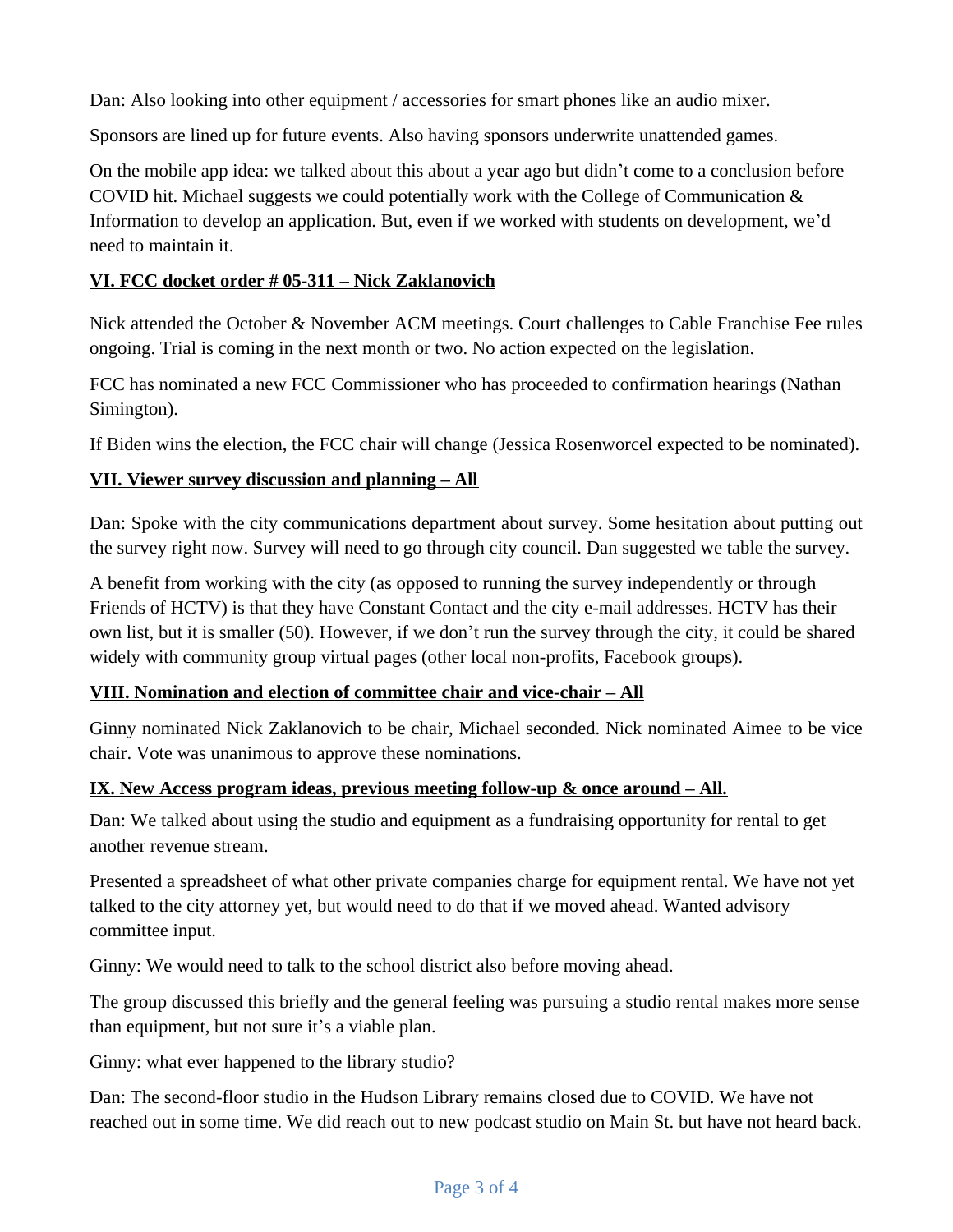Dan: Also looking into other equipment / accessories for smart phones like an audio mixer.

Sponsors are lined up for future events. Also having sponsors underwrite unattended games.

On the mobile app idea: we talked about this about a year ago but didn't come to a conclusion before COVID hit. Michael suggests we could potentially work with the College of Communication & Information to develop an application. But, even if we worked with students on development, we'd need to maintain it.

## **VI. FCC docket order # 05-311 – Nick Zaklanovich**

Nick attended the October & November ACM meetings. Court challenges to Cable Franchise Fee rules ongoing. Trial is coming in the next month or two. No action expected on the legislation.

FCC has nominated a new FCC Commissioner who has proceeded to confirmation hearings (Nathan Simington).

If Biden wins the election, the FCC chair will change (Jessica Rosenworcel expected to be nominated).

# **VII. Viewer survey discussion and planning – All**

Dan: Spoke with the city communications department about survey. Some hesitation about putting out the survey right now. Survey will need to go through city council. Dan suggested we table the survey.

A benefit from working with the city (as opposed to running the survey independently or through Friends of HCTV) is that they have Constant Contact and the city e-mail addresses. HCTV has their own list, but it is smaller (50). However, if we don't run the survey through the city, it could be shared widely with community group virtual pages (other local non-profits, Facebook groups).

## **VIII. Nomination and election of committee chair and vice-chair – All**

Ginny nominated Nick Zaklanovich to be chair, Michael seconded. Nick nominated Aimee to be vice chair. Vote was unanimous to approve these nominations.

## **IX.** New Access program ideas, previous meeting follow-up & once around – All.

Dan: We talked about using the studio and equipment as a fundraising opportunity for rental to get another revenue stream.

Presented a spreadsheet of what other private companies charge for equipment rental. We have not yet talked to the city attorney yet, but would need to do that if we moved ahead. Wanted advisory committee input.

Ginny: We would need to talk to the school district also before moving ahead.

The group discussed this briefly and the general feeling was pursuing a studio rental makes more sense than equipment, but not sure it's a viable plan.

Ginny: what ever happened to the library studio?

Dan: The second-floor studio in the Hudson Library remains closed due to COVID. We have not reached out in some time. We did reach out to new podcast studio on Main St. but have not heard back.